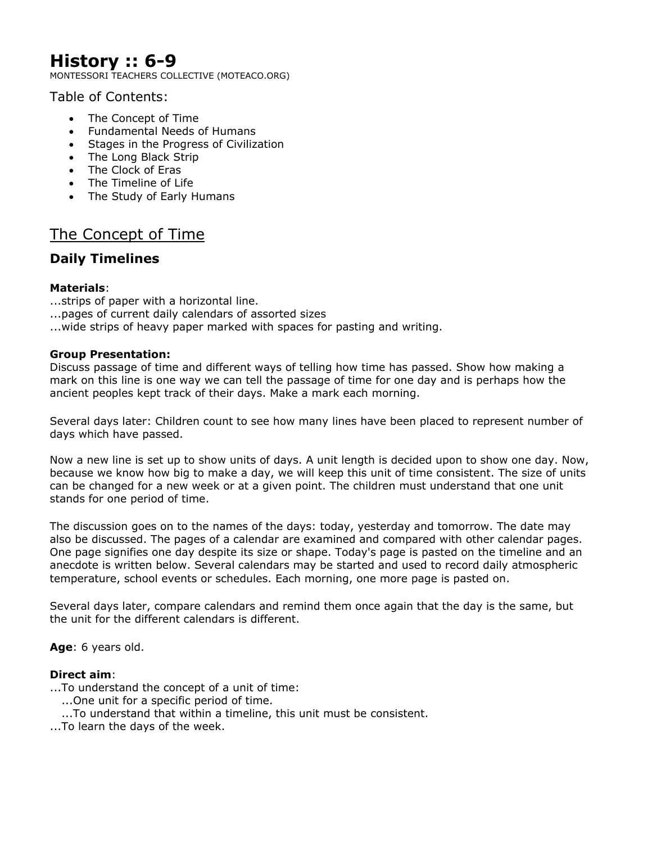# **History :: 6-9**

MONTESSORI TEACHERS COLLECTIVE (MOTEACO.ORG)

Table of Contents:

- The Concept of Time
- Fundamental Needs of Humans
- Stages in the Progress of Civilization
- The Long Black Strip
- The Clock of Eras
- The Timeline of Life
- The Study of Early Humans

# The Concept of Time

# **Daily Timelines**

# **Materials**:

...strips of paper with a horizontal line.

- ...pages of current daily calendars of assorted sizes
- ...wide strips of heavy paper marked with spaces for pasting and writing.

# **Group Presentation:**

Discuss passage of time and different ways of telling how time has passed. Show how making a mark on this line is one way we can tell the passage of time for one day and is perhaps how the ancient peoples kept track of their days. Make a mark each morning.

Several days later: Children count to see how many lines have been placed to represent number of days which have passed.

Now a new line is set up to show units of days. A unit length is decided upon to show one day. Now, because we know how big to make a day, we will keep this unit of time consistent. The size of units can be changed for a new week or at a given point. The children must understand that one unit stands for one period of time.

The discussion goes on to the names of the days: today, yesterday and tomorrow. The date may also be discussed. The pages of a calendar are examined and compared with other calendar pages. One page signifies one day despite its size or shape. Today's page is pasted on the timeline and an anecdote is written below. Several calendars may be started and used to record daily atmospheric temperature, school events or schedules. Each morning, one more page is pasted on.

Several days later, compare calendars and remind them once again that the day is the same, but the unit for the different calendars is different.

**Age**: 6 years old.

# **Direct aim**:

...To understand the concept of a unit of time:

- ......One unit for a specific period of time.
- ...To understand that within a timeline, this unit must be consistent.
- ...To learn the days of the week.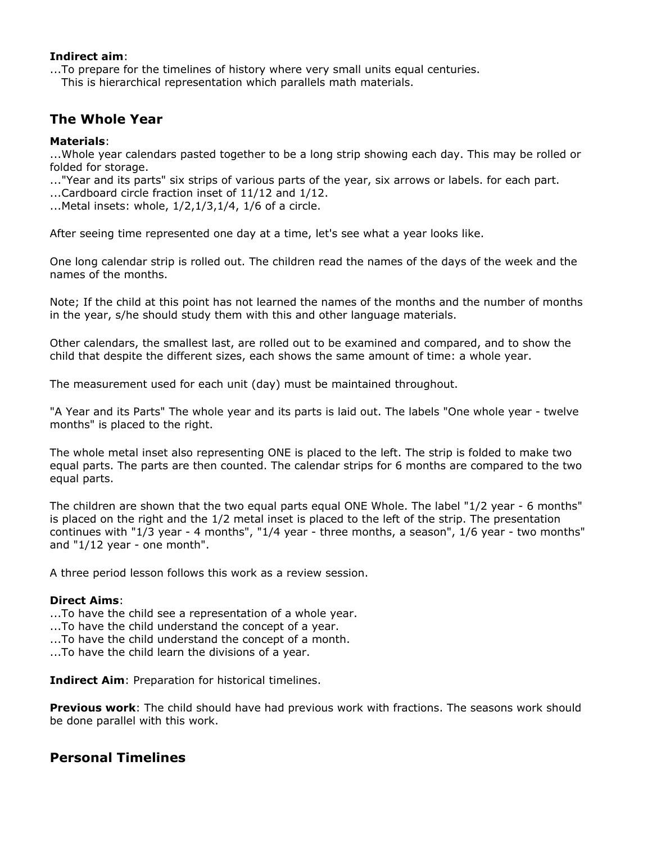### **Indirect aim**:

...To prepare for the timelines of history where very small units equal centuries.

This is hierarchical representation which parallels math materials.

# **The Whole Year**

# **Materials**:

...Whole year calendars pasted together to be a long strip showing each day. This may be rolled or folded for storage.

..."Year and its parts" six strips of various parts of the year, six arrows or labels. for each part.

...Cardboard circle fraction inset of 11/12 and 1/12.

...Metal insets: whole, 1/2,1/3,1/4, 1/6 of a circle.

After seeing time represented one day at a time, let's see what a year looks like.

One long calendar strip is rolled out. The children read the names of the days of the week and the names of the months.

Note; If the child at this point has not learned the names of the months and the number of months in the year, s/he should study them with this and other language materials.

Other calendars, the smallest last, are rolled out to be examined and compared, and to show the child that despite the different sizes, each shows the same amount of time: a whole year.

The measurement used for each unit (day) must be maintained throughout.

"A Year and its Parts" The whole year and its parts is laid out. The labels "One whole year - twelve months" is placed to the right.

The whole metal inset also representing ONE is placed to the left. The strip is folded to make two equal parts. The parts are then counted. The calendar strips for 6 months are compared to the two equal parts.

The children are shown that the two equal parts equal ONE Whole. The label "1/2 year - 6 months" is placed on the right and the 1/2 metal inset is placed to the left of the strip. The presentation continues with "1/3 year - 4 months", "1/4 year - three months, a season", 1/6 year - two months" and "1/12 year - one month".

A three period lesson follows this work as a review session.

#### **Direct Aims**:

...To have the child see a representation of a whole year.

- ...To have the child understand the concept of a year.
- ...To have the child understand the concept of a month.

...To have the child learn the divisions of a year.

**Indirect Aim**: Preparation for historical timelines.

**Previous work**: The child should have had previous work with fractions. The seasons work should be done parallel with this work.

# **Personal Timelines**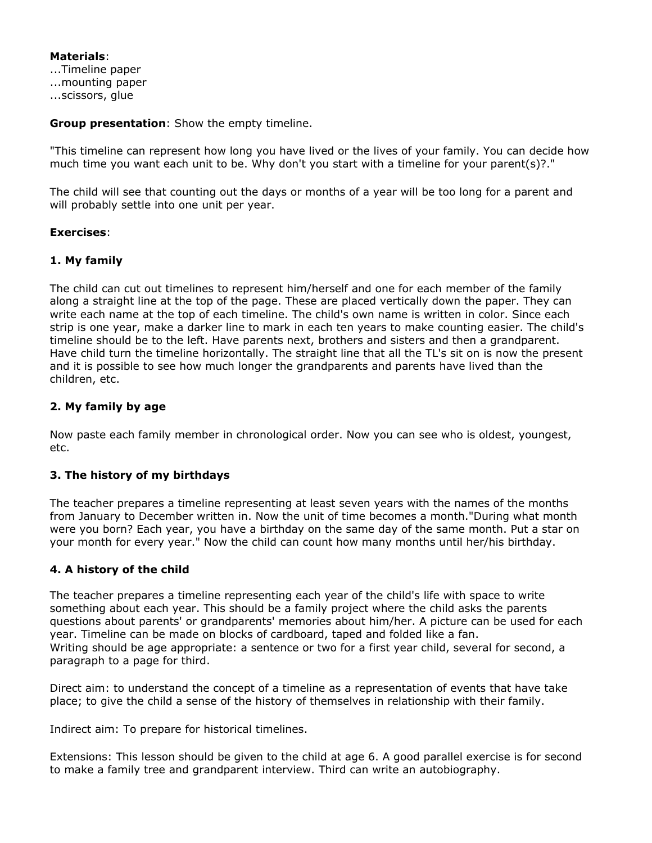**Materials**: ...Timeline paper ...mounting paper ...scissors, glue

**Group presentation**: Show the empty timeline.

"This timeline can represent how long you have lived or the lives of your family. You can decide how much time you want each unit to be. Why don't you start with a timeline for your parent(s)?."

The child will see that counting out the days or months of a year will be too long for a parent and will probably settle into one unit per year.

#### **Exercises**:

## **1. My family**

The child can cut out timelines to represent him/herself and one for each member of the family along a straight line at the top of the page. These are placed vertically down the paper. They can write each name at the top of each timeline. The child's own name is written in color. Since each strip is one year, make a darker line to mark in each ten years to make counting easier. The child's timeline should be to the left. Have parents next, brothers and sisters and then a grandparent. Have child turn the timeline horizontally. The straight line that all the TL's sit on is now the present and it is possible to see how much longer the grandparents and parents have lived than the children, etc.

## **2. My family by age**

Now paste each family member in chronological order. Now you can see who is oldest, youngest, etc.

#### **3. The history of my birthdays**

The teacher prepares a timeline representing at least seven years with the names of the months from January to December written in. Now the unit of time becomes a month."During what month were you born? Each year, you have a birthday on the same day of the same month. Put a star on your month for every year." Now the child can count how many months until her/his birthday.

#### **4. A history of the child**

The teacher prepares a timeline representing each year of the child's life with space to write something about each year. This should be a family project where the child asks the parents questions about parents' or grandparents' memories about him/her. A picture can be used for each year. Timeline can be made on blocks of cardboard, taped and folded like a fan. Writing should be age appropriate: a sentence or two for a first year child, several for second, a paragraph to a page for third.

Direct aim: to understand the concept of a timeline as a representation of events that have take place; to give the child a sense of the history of themselves in relationship with their family.

Indirect aim: To prepare for historical timelines.

Extensions: This lesson should be given to the child at age 6. A good parallel exercise is for second to make a family tree and grandparent interview. Third can write an autobiography.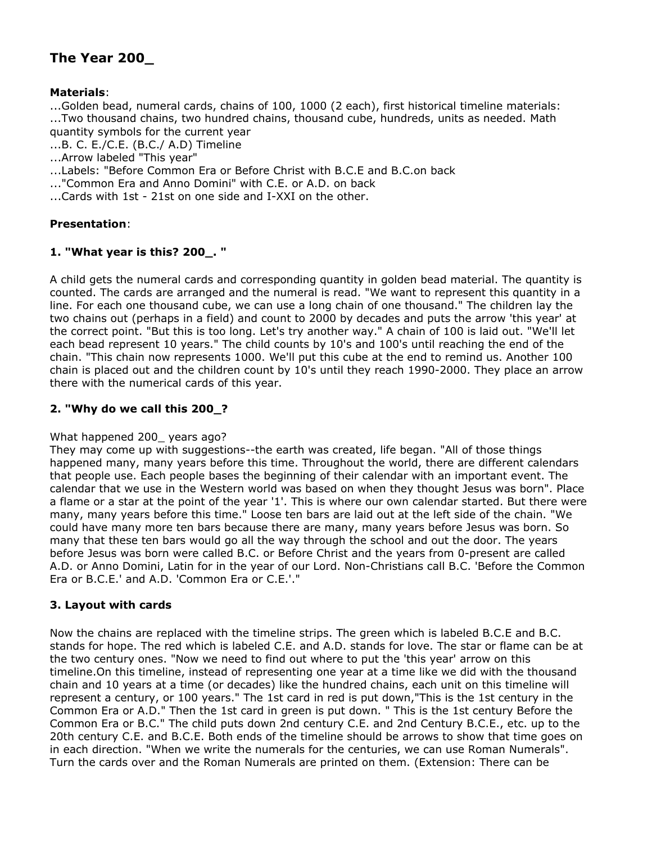# **The Year 200\_**

## **Materials**:

...Golden bead, numeral cards, chains of 100, 1000 (2 each), first historical timeline materials: ...Two thousand chains, two hundred chains, thousand cube, hundreds, units as needed. Math quantity symbols for the current year

...B. C. E./C.E. (B.C./ A.D) Timeline

...Arrow labeled "This year"

...Labels: "Before Common Era or Before Christ with B.C.E and B.C.on back

..."Common Era and Anno Domini" with C.E. or A.D. on back

...Cards with 1st - 21st on one side and I-XXI on the other.

#### **Presentation**:

## **1. "What year is this? 200\_. "**

A child gets the numeral cards and corresponding quantity in golden bead material. The quantity is counted. The cards are arranged and the numeral is read. "We want to represent this quantity in a line. For each one thousand cube, we can use a long chain of one thousand." The children lay the two chains out (perhaps in a field) and count to 2000 by decades and puts the arrow 'this year' at the correct point. "But this is too long. Let's try another way." A chain of 100 is laid out. "We'll let each bead represent 10 years." The child counts by 10's and 100's until reaching the end of the chain. "This chain now represents 1000. We'll put this cube at the end to remind us. Another 100 chain is placed out and the children count by 10's until they reach 1990-2000. They place an arrow there with the numerical cards of this year.

### **2. "Why do we call this 200\_?**

#### What happened 200\_ years ago?

They may come up with suggestions--the earth was created, life began. "All of those things happened many, many years before this time. Throughout the world, there are different calendars that people use. Each people bases the beginning of their calendar with an important event. The calendar that we use in the Western world was based on when they thought Jesus was born". Place a flame or a star at the point of the year '1'. This is where our own calendar started. But there were many, many years before this time." Loose ten bars are laid out at the left side of the chain. "We could have many more ten bars because there are many, many years before Jesus was born. So many that these ten bars would go all the way through the school and out the door. The years before Jesus was born were called B.C. or Before Christ and the years from 0-present are called A.D. or Anno Domini, Latin for in the year of our Lord. Non-Christians call B.C. 'Before the Common Era or B.C.E.' and A.D. 'Common Era or C.E.'."

#### **3. Layout with cards**

Now the chains are replaced with the timeline strips. The green which is labeled B.C.E and B.C. stands for hope. The red which is labeled C.E. and A.D. stands for love. The star or flame can be at the two century ones. "Now we need to find out where to put the 'this year' arrow on this timeline.On this timeline, instead of representing one year at a time like we did with the thousand chain and 10 years at a time (or decades) like the hundred chains, each unit on this timeline will represent a century, or 100 years." The 1st card in red is put down,"This is the 1st century in the Common Era or A.D." Then the 1st card in green is put down. " This is the 1st century Before the Common Era or B.C." The child puts down 2nd century C.E. and 2nd Century B.C.E., etc. up to the 20th century C.E. and B.C.E. Both ends of the timeline should be arrows to show that time goes on in each direction. "When we write the numerals for the centuries, we can use Roman Numerals". Turn the cards over and the Roman Numerals are printed on them. (Extension: There can be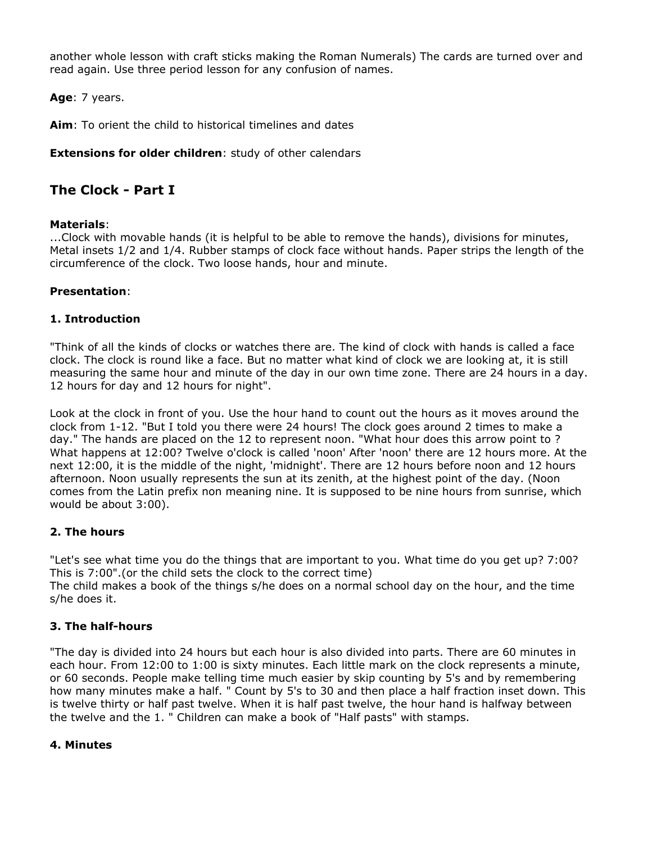another whole lesson with craft sticks making the Roman Numerals) The cards are turned over and read again. Use three period lesson for any confusion of names.

**Age**: 7 years.

**Aim**: To orient the child to historical timelines and dates

**Extensions for older children**: study of other calendars

# **The Clock - Part I**

## **Materials**:

...Clock with movable hands (it is helpful to be able to remove the hands), divisions for minutes, Metal insets 1/2 and 1/4. Rubber stamps of clock face without hands. Paper strips the length of the circumference of the clock. Two loose hands, hour and minute.

## **Presentation**:

## **1. Introduction**

"Think of all the kinds of clocks or watches there are. The kind of clock with hands is called a face clock. The clock is round like a face. But no matter what kind of clock we are looking at, it is still measuring the same hour and minute of the day in our own time zone. There are 24 hours in a day. 12 hours for day and 12 hours for night".

Look at the clock in front of you. Use the hour hand to count out the hours as it moves around the clock from 1-12. "But I told you there were 24 hours! The clock goes around 2 times to make a day." The hands are placed on the 12 to represent noon. "What hour does this arrow point to ? What happens at 12:00? Twelve o'clock is called 'noon' After 'noon' there are 12 hours more. At the next 12:00, it is the middle of the night, 'midnight'. There are 12 hours before noon and 12 hours afternoon. Noon usually represents the sun at its zenith, at the highest point of the day. (Noon comes from the Latin prefix non meaning nine. It is supposed to be nine hours from sunrise, which would be about 3:00).

#### **2. The hours**

"Let's see what time you do the things that are important to you. What time do you get up? 7:00? This is 7:00".(or the child sets the clock to the correct time)

The child makes a book of the things s/he does on a normal school day on the hour, and the time s/he does it.

# **3. The half-hours**

"The day is divided into 24 hours but each hour is also divided into parts. There are 60 minutes in each hour. From 12:00 to 1:00 is sixty minutes. Each little mark on the clock represents a minute, or 60 seconds. People make telling time much easier by skip counting by 5's and by remembering how many minutes make a half. " Count by 5's to 30 and then place a half fraction inset down. This is twelve thirty or half past twelve. When it is half past twelve, the hour hand is halfway between the twelve and the 1. " Children can make a book of "Half pasts" with stamps.

#### **4. Minutes**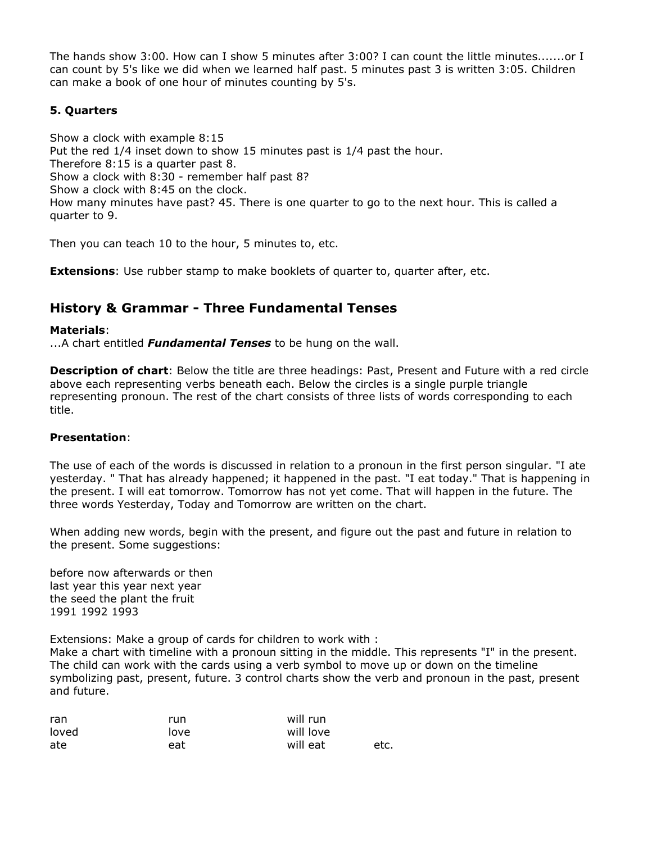The hands show 3:00. How can I show 5 minutes after 3:00? I can count the little minutes.......or I can count by 5's like we did when we learned half past. 5 minutes past 3 is written 3:05. Children can make a book of one hour of minutes counting by 5's.

# **5. Quarters**

Show a clock with example 8:15 Put the red 1/4 inset down to show 15 minutes past is 1/4 past the hour. Therefore 8:15 is a quarter past 8. Show a clock with 8:30 - remember half past 8? Show a clock with 8:45 on the clock. How many minutes have past? 45. There is one quarter to go to the next hour. This is called a quarter to 9.

Then you can teach 10 to the hour, 5 minutes to, etc.

**Extensions**: Use rubber stamp to make booklets of quarter to, quarter after, etc.

# **History & Grammar - Three Fundamental Tenses**

#### **Materials**:

...A chart entitled *Fundamental Tenses* to be hung on the wall.

**Description of chart**: Below the title are three headings: Past, Present and Future with a red circle above each representing verbs beneath each. Below the circles is a single purple triangle representing pronoun. The rest of the chart consists of three lists of words corresponding to each title.

#### **Presentation**:

The use of each of the words is discussed in relation to a pronoun in the first person singular. "I ate yesterday. " That has already happened; it happened in the past. "I eat today." That is happening in the present. I will eat tomorrow. Tomorrow has not yet come. That will happen in the future. The three words Yesterday, Today and Tomorrow are written on the chart.

When adding new words, begin with the present, and figure out the past and future in relation to the present. Some suggestions:

before now afterwards or then last year this year next year the seed the plant the fruit 1991 1992 1993

Extensions: Make a group of cards for children to work with :

Make a chart with timeline with a pronoun sitting in the middle. This represents "I" in the present. The child can work with the cards using a verb symbol to move up or down on the timeline symbolizing past, present, future. 3 control charts show the verb and pronoun in the past, present and future.

| ran   | run  | will run  |      |
|-------|------|-----------|------|
| loved | love | will love |      |
| ate   | eat  | will eat  | etc. |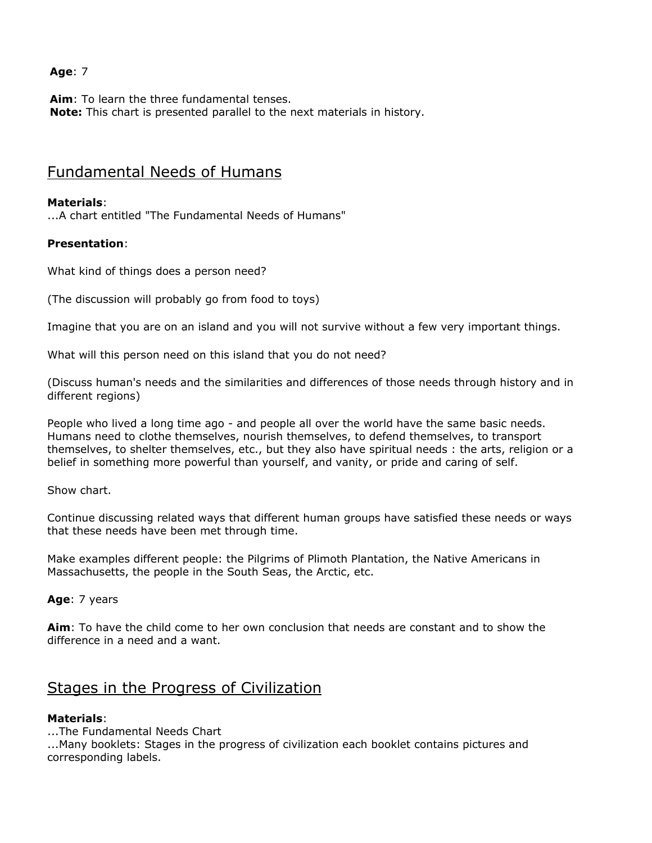# **Age**: 7

**Aim**: To learn the three fundamental tenses. **Note:** This chart is presented parallel to the next materials in history.

# Fundamental Needs of Humans

## **Materials**:

...A chart entitled "The Fundamental Needs of Humans"

## **Presentation**:

What kind of things does a person need?

(The discussion will probably go from food to toys)

Imagine that you are on an island and you will not survive without a few very important things.

What will this person need on this island that you do not need?

(Discuss human's needs and the similarities and differences of those needs through history and in different regions)

People who lived a long time ago - and people all over the world have the same basic needs. Humans need to clothe themselves, nourish themselves, to defend themselves, to transport themselves, to shelter themselves, etc., but they also have spiritual needs : the arts, religion or a belief in something more powerful than yourself, and vanity, or pride and caring of self.

Show chart.

Continue discussing related ways that different human groups have satisfied these needs or ways that these needs have been met through time.

Make examples different people: the Pilgrims of Plimoth Plantation, the Native Americans in Massachusetts, the people in the South Seas, the Arctic, etc.

#### **Age**: 7 years

**Aim**: To have the child come to her own conclusion that needs are constant and to show the difference in a need and a want.

# Stages in the Progress of Civilization

#### **Materials**:

...The Fundamental Needs Chart

...Many booklets: Stages in the progress of civilization each booklet contains pictures and corresponding labels.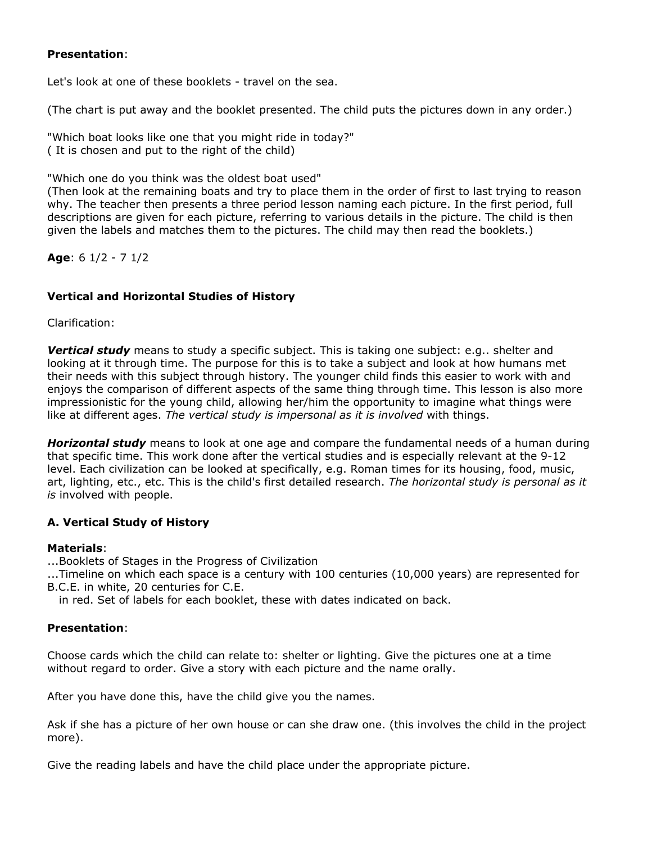## **Presentation**:

Let's look at one of these booklets - travel on the sea.

(The chart is put away and the booklet presented. The child puts the pictures down in any order.)

"Which boat looks like one that you might ride in today?" ( It is chosen and put to the right of the child)

"Which one do you think was the oldest boat used"

(Then look at the remaining boats and try to place them in the order of first to last trying to reason why. The teacher then presents a three period lesson naming each picture. In the first period, full descriptions are given for each picture, referring to various details in the picture. The child is then given the labels and matches them to the pictures. The child may then read the booklets.)

**Age**: 6 1/2 - 7 1/2

# **Vertical and Horizontal Studies of History**

Clarification:

*Vertical study* means to study a specific subject. This is taking one subject: e.g.. shelter and looking at it through time. The purpose for this is to take a subject and look at how humans met their needs with this subject through history. The younger child finds this easier to work with and enjoys the comparison of different aspects of the same thing through time. This lesson is also more impressionistic for the young child, allowing her/him the opportunity to imagine what things were like at different ages. *The vertical study is impersonal as it is involved* with things.

*Horizontal study* means to look at one age and compare the fundamental needs of a human during that specific time. This work done after the vertical studies and is especially relevant at the 9-12 level. Each civilization can be looked at specifically, e.g. Roman times for its housing, food, music, art, lighting, etc., etc. This is the child's first detailed research. *The horizontal study is personal as it is* involved with people.

# **A. Vertical Study of History**

#### **Materials**:

...Booklets of Stages in the Progress of Civilization

...Timeline on which each space is a century with 100 centuries (10,000 years) are represented for B.C.E. in white, 20 centuries for C.E.

in red. Set of labels for each booklet, these with dates indicated on back.

# **Presentation**:

Choose cards which the child can relate to: shelter or lighting. Give the pictures one at a time without regard to order. Give a story with each picture and the name orally.

After you have done this, have the child give you the names.

Ask if she has a picture of her own house or can she draw one. (this involves the child in the project more).

Give the reading labels and have the child place under the appropriate picture.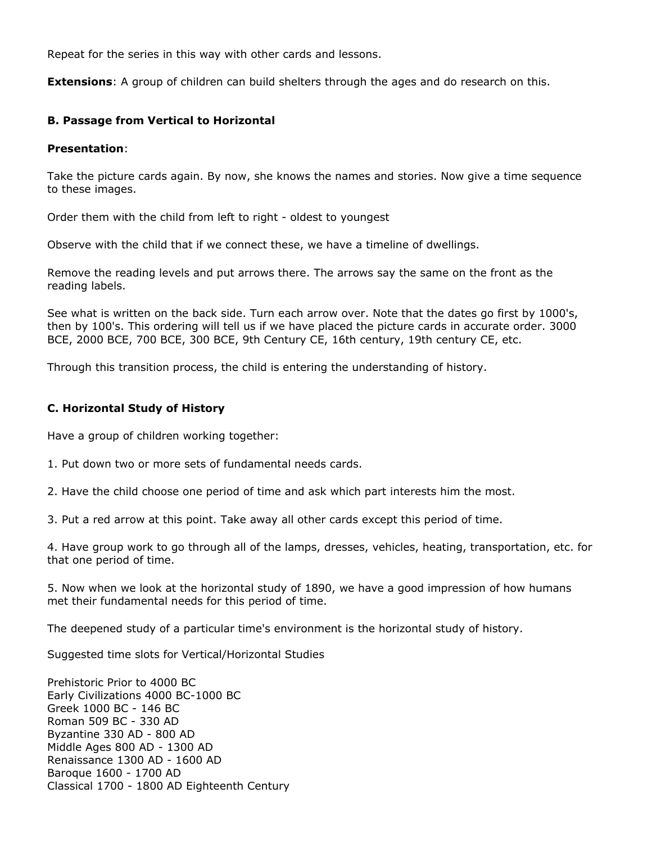Repeat for the series in this way with other cards and lessons.

**Extensions**: A group of children can build shelters through the ages and do research on this.

## **B. Passage from Vertical to Horizontal**

#### **Presentation**:

Take the picture cards again. By now, she knows the names and stories. Now give a time sequence to these images.

Order them with the child from left to right - oldest to youngest

Observe with the child that if we connect these, we have a timeline of dwellings.

Remove the reading levels and put arrows there. The arrows say the same on the front as the reading labels.

See what is written on the back side. Turn each arrow over. Note that the dates go first by 1000's, then by 100's. This ordering will tell us if we have placed the picture cards in accurate order. 3000 BCE, 2000 BCE, 700 BCE, 300 BCE, 9th Century CE, 16th century, 19th century CE, etc.

Through this transition process, the child is entering the understanding of history.

#### **C. Horizontal Study of History**

Have a group of children working together:

1. Put down two or more sets of fundamental needs cards.

2. Have the child choose one period of time and ask which part interests him the most.

3. Put a red arrow at this point. Take away all other cards except this period of time.

4. Have group work to go through all of the lamps, dresses, vehicles, heating, transportation, etc. for that one period of time.

5. Now when we look at the horizontal study of 1890, we have a good impression of how humans met their fundamental needs for this period of time.

The deepened study of a particular time's environment is the horizontal study of history.

Suggested time slots for Vertical/Horizontal Studies

Prehistoric Prior to 4000 BC Early Civilizations 4000 BC-1000 BC Greek 1000 BC - 146 BC Roman 509 BC - 330 AD Byzantine 330 AD - 800 AD Middle Ages 800 AD - 1300 AD Renaissance 1300 AD - 1600 AD Baroque 1600 - 1700 AD Classical 1700 - 1800 AD Eighteenth Century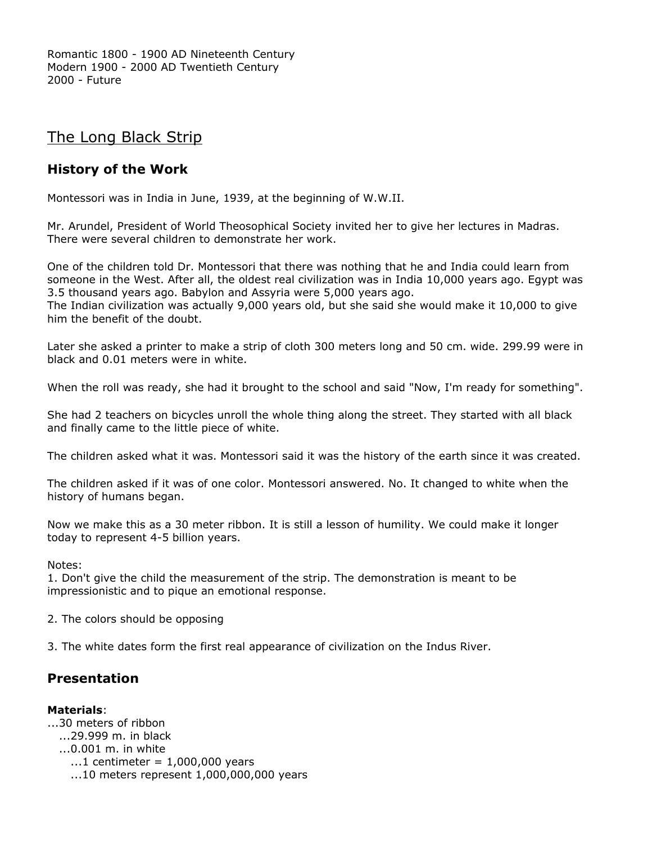Romantic 1800 - 1900 AD Nineteenth Century Modern 1900 - 2000 AD Twentieth Century 2000 - Future

# The Long Black Strip

# **History of the Work**

Montessori was in India in June, 1939, at the beginning of W.W.II.

Mr. Arundel, President of World Theosophical Society invited her to give her lectures in Madras. There were several children to demonstrate her work.

One of the children told Dr. Montessori that there was nothing that he and India could learn from someone in the West. After all, the oldest real civilization was in India 10,000 years ago. Egypt was 3.5 thousand years ago. Babylon and Assyria were 5,000 years ago.

The Indian civilization was actually 9,000 years old, but she said she would make it 10,000 to give him the benefit of the doubt.

Later she asked a printer to make a strip of cloth 300 meters long and 50 cm. wide. 299.99 were in black and 0.01 meters were in white.

When the roll was ready, she had it brought to the school and said "Now, I'm ready for something".

She had 2 teachers on bicycles unroll the whole thing along the street. They started with all black and finally came to the little piece of white.

The children asked what it was. Montessori said it was the history of the earth since it was created.

The children asked if it was of one color. Montessori answered. No. It changed to white when the history of humans began.

Now we make this as a 30 meter ribbon. It is still a lesson of humility. We could make it longer today to represent 4-5 billion years.

Notes:

1. Don't give the child the measurement of the strip. The demonstration is meant to be impressionistic and to pique an emotional response.

2. The colors should be opposing

3. The white dates form the first real appearance of civilization on the Indus River.

# **Presentation**

#### **Materials**:

...30 meters of ribbon ...29.999 m. in black ......0.001 m. in white  $\dots$ 1 centimeter = 1,000,000 years  $...10$  meters represent  $1,000,000,000$  years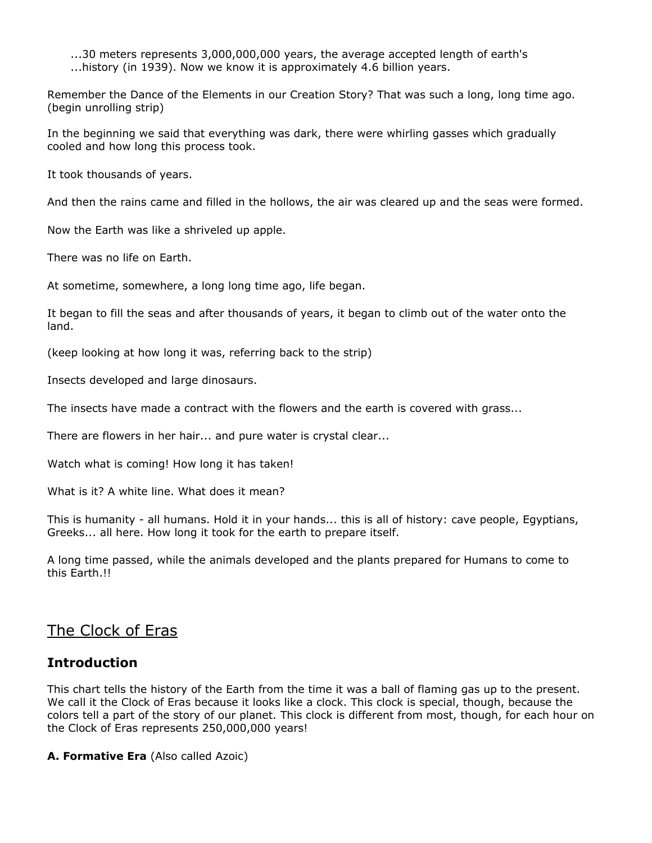...30 meters represents 3,000,000,000 years, the average accepted length of earth's ...history (in 1939). Now we know it is approximately 4.6 billion years.

Remember the Dance of the Elements in our Creation Story? That was such a long, long time ago. (begin unrolling strip)

In the beginning we said that everything was dark, there were whirling gasses which gradually cooled and how long this process took.

It took thousands of years.

And then the rains came and filled in the hollows, the air was cleared up and the seas were formed.

Now the Earth was like a shriveled up apple.

There was no life on Earth.

At sometime, somewhere, a long long time ago, life began.

It began to fill the seas and after thousands of years, it began to climb out of the water onto the land.

(keep looking at how long it was, referring back to the strip)

Insects developed and large dinosaurs.

The insects have made a contract with the flowers and the earth is covered with grass...

There are flowers in her hair... and pure water is crystal clear...

Watch what is coming! How long it has taken!

What is it? A white line. What does it mean?

This is humanity - all humans. Hold it in your hands... this is all of history: cave people, Egyptians, Greeks... all here. How long it took for the earth to prepare itself.

A long time passed, while the animals developed and the plants prepared for Humans to come to this Earth.!!

# The Clock of Eras

# **Introduction**

This chart tells the history of the Earth from the time it was a ball of flaming gas up to the present. We call it the Clock of Eras because it looks like a clock. This clock is special, though, because the colors tell a part of the story of our planet. This clock is different from most, though, for each hour on the Clock of Eras represents 250,000,000 years!

**A. Formative Era** (Also called Azoic)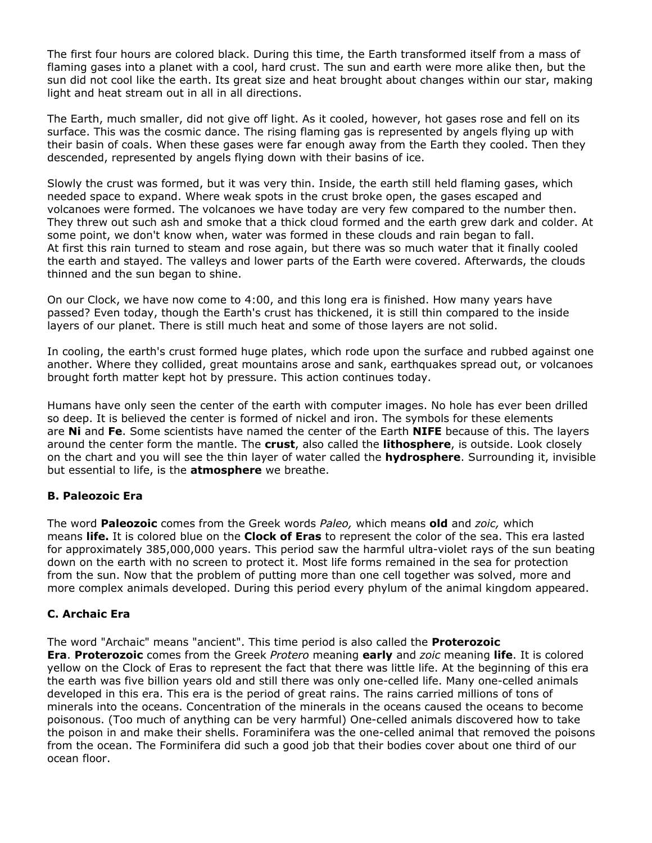The first four hours are colored black. During this time, the Earth transformed itself from a mass of flaming gases into a planet with a cool, hard crust. The sun and earth were more alike then, but the sun did not cool like the earth. Its great size and heat brought about changes within our star, making light and heat stream out in all in all directions.

The Earth, much smaller, did not give off light. As it cooled, however, hot gases rose and fell on its surface. This was the cosmic dance. The rising flaming gas is represented by angels flying up with their basin of coals. When these gases were far enough away from the Earth they cooled. Then they descended, represented by angels flying down with their basins of ice.

Slowly the crust was formed, but it was very thin. Inside, the earth still held flaming gases, which needed space to expand. Where weak spots in the crust broke open, the gases escaped and volcanoes were formed. The volcanoes we have today are very few compared to the number then. They threw out such ash and smoke that a thick cloud formed and the earth grew dark and colder. At some point, we don't know when, water was formed in these clouds and rain began to fall. At first this rain turned to steam and rose again, but there was so much water that it finally cooled the earth and stayed. The valleys and lower parts of the Earth were covered. Afterwards, the clouds thinned and the sun began to shine.

On our Clock, we have now come to 4:00, and this long era is finished. How many years have passed? Even today, though the Earth's crust has thickened, it is still thin compared to the inside layers of our planet. There is still much heat and some of those layers are not solid.

In cooling, the earth's crust formed huge plates, which rode upon the surface and rubbed against one another. Where they collided, great mountains arose and sank, earthquakes spread out, or volcanoes brought forth matter kept hot by pressure. This action continues today.

Humans have only seen the center of the earth with computer images. No hole has ever been drilled so deep. It is believed the center is formed of nickel and iron. The symbols for these elements are **Ni** and **Fe**. Some scientists have named the center of the Earth **NIFE** because of this. The layers around the center form the mantle. The **crust**, also called the **lithosphere**, is outside. Look closely on the chart and you will see the thin layer of water called the **hydrosphere**. Surrounding it, invisible but essential to life, is the **atmosphere** we breathe.

# **B. Paleozoic Era**

The word **Paleozoic** comes from the Greek words *Paleo,* which means **old** and *zoic,* which means **life.** It is colored blue on the **Clock of Eras** to represent the color of the sea. This era lasted for approximately 385,000,000 years. This period saw the harmful ultra-violet rays of the sun beating down on the earth with no screen to protect it. Most life forms remained in the sea for protection from the sun. Now that the problem of putting more than one cell together was solved, more and more complex animals developed. During this period every phylum of the animal kingdom appeared.

# **C. Archaic Era**

The word "Archaic" means "ancient". This time period is also called the **Proterozoic Era**. **Proterozoic** comes from the Greek *Protero* meaning **early** and *zoic* meaning **life**. It is colored yellow on the Clock of Eras to represent the fact that there was little life. At the beginning of this era the earth was five billion years old and still there was only one-celled life. Many one-celled animals developed in this era. This era is the period of great rains. The rains carried millions of tons of minerals into the oceans. Concentration of the minerals in the oceans caused the oceans to become poisonous. (Too much of anything can be very harmful) One-celled animals discovered how to take the poison in and make their shells. Foraminifera was the one-celled animal that removed the poisons from the ocean. The Forminifera did such a good job that their bodies cover about one third of our ocean floor.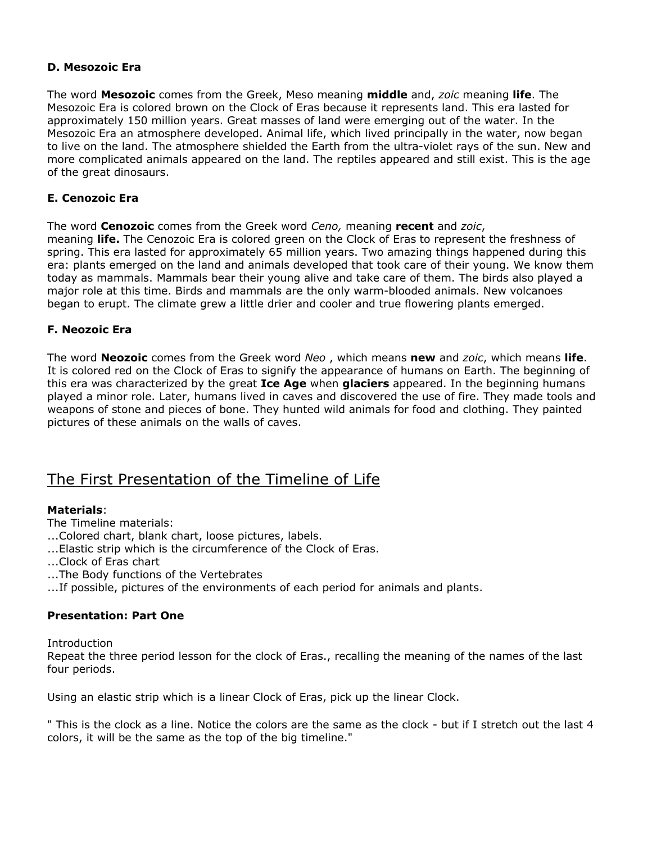## **D. Mesozoic Era**

The word **Mesozoic** comes from the Greek, Meso meaning **middle** and, *zoic* meaning **life**. The Mesozoic Era is colored brown on the Clock of Eras because it represents land. This era lasted for approximately 150 million years. Great masses of land were emerging out of the water. In the Mesozoic Era an atmosphere developed. Animal life, which lived principally in the water, now began to live on the land. The atmosphere shielded the Earth from the ultra-violet rays of the sun. New and more complicated animals appeared on the land. The reptiles appeared and still exist. This is the age of the great dinosaurs.

### **E. Cenozoic Era**

The word **Cenozoic** comes from the Greek word *Ceno,* meaning **recent** and *zoic*, meaning **life.** The Cenozoic Era is colored green on the Clock of Eras to represent the freshness of spring. This era lasted for approximately 65 million years. Two amazing things happened during this era: plants emerged on the land and animals developed that took care of their young. We know them today as mammals. Mammals bear their young alive and take care of them. The birds also played a major role at this time. Birds and mammals are the only warm-blooded animals. New volcanoes began to erupt. The climate grew a little drier and cooler and true flowering plants emerged.

## **F. Neozoic Era**

The word **Neozoic** comes from the Greek word *Neo* , which means **new** and *zoic*, which means **life**. It is colored red on the Clock of Eras to signify the appearance of humans on Earth. The beginning of this era was characterized by the great **Ice Age** when **glaciers** appeared. In the beginning humans played a minor role. Later, humans lived in caves and discovered the use of fire. They made tools and weapons of stone and pieces of bone. They hunted wild animals for food and clothing. They painted pictures of these animals on the walls of caves.

# The First Presentation of the Timeline of Life

## **Materials**:

The Timeline materials:

- ...Colored chart, blank chart, loose pictures, labels.
- ...Elastic strip which is the circumference of the Clock of Eras.
- ...Clock of Eras chart
- ...The Body functions of the Vertebrates
- ...If possible, pictures of the environments of each period for animals and plants.

# **Presentation: Part One**

**Introduction** 

Repeat the three period lesson for the clock of Eras., recalling the meaning of the names of the last four periods.

Using an elastic strip which is a linear Clock of Eras, pick up the linear Clock.

" This is the clock as a line. Notice the colors are the same as the clock - but if I stretch out the last 4 colors, it will be the same as the top of the big timeline."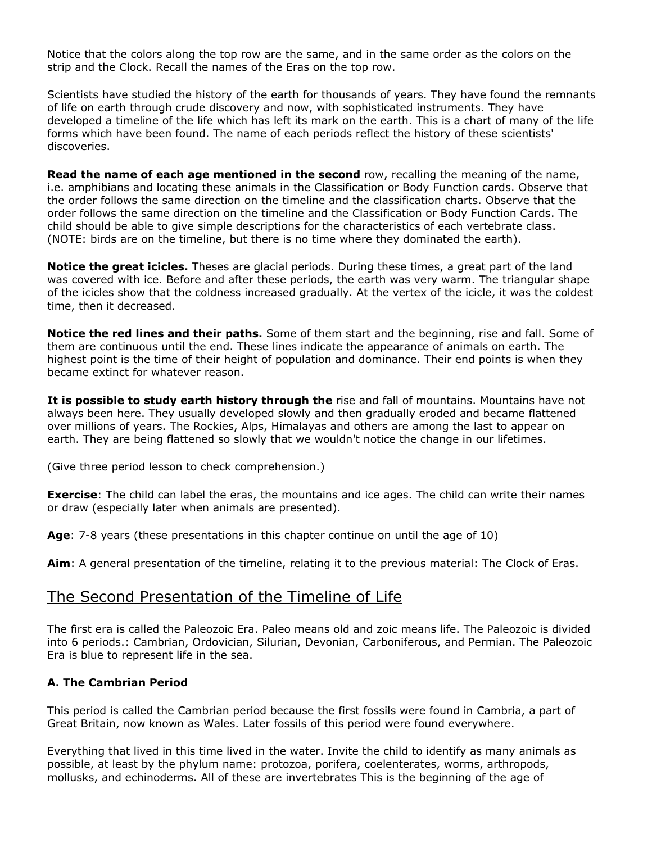Notice that the colors along the top row are the same, and in the same order as the colors on the strip and the Clock. Recall the names of the Eras on the top row.

Scientists have studied the history of the earth for thousands of years. They have found the remnants of life on earth through crude discovery and now, with sophisticated instruments. They have developed a timeline of the life which has left its mark on the earth. This is a chart of many of the life forms which have been found. The name of each periods reflect the history of these scientists' discoveries.

**Read the name of each age mentioned in the second** row, recalling the meaning of the name, i.e. amphibians and locating these animals in the Classification or Body Function cards. Observe that the order follows the same direction on the timeline and the classification charts. Observe that the order follows the same direction on the timeline and the Classification or Body Function Cards. The child should be able to give simple descriptions for the characteristics of each vertebrate class. (NOTE: birds are on the timeline, but there is no time where they dominated the earth).

**Notice the great icicles.** Theses are glacial periods. During these times, a great part of the land was covered with ice. Before and after these periods, the earth was very warm. The triangular shape of the icicles show that the coldness increased gradually. At the vertex of the icicle, it was the coldest time, then it decreased.

**Notice the red lines and their paths.** Some of them start and the beginning, rise and fall. Some of them are continuous until the end. These lines indicate the appearance of animals on earth. The highest point is the time of their height of population and dominance. Their end points is when they became extinct for whatever reason.

**It is possible to study earth history through the** rise and fall of mountains. Mountains have not always been here. They usually developed slowly and then gradually eroded and became flattened over millions of years. The Rockies, Alps, Himalayas and others are among the last to appear on earth. They are being flattened so slowly that we wouldn't notice the change in our lifetimes.

(Give three period lesson to check comprehension.)

**Exercise**: The child can label the eras, the mountains and ice ages. The child can write their names or draw (especially later when animals are presented).

**Age**: 7-8 years (these presentations in this chapter continue on until the age of 10)

**Aim**: A general presentation of the timeline, relating it to the previous material: The Clock of Eras.

# The Second Presentation of the Timeline of Life

The first era is called the Paleozoic Era. Paleo means old and zoic means life. The Paleozoic is divided into 6 periods.: Cambrian, Ordovician, Silurian, Devonian, Carboniferous, and Permian. The Paleozoic Era is blue to represent life in the sea.

# **A. The Cambrian Period**

This period is called the Cambrian period because the first fossils were found in Cambria, a part of Great Britain, now known as Wales. Later fossils of this period were found everywhere.

Everything that lived in this time lived in the water. Invite the child to identify as many animals as possible, at least by the phylum name: protozoa, porifera, coelenterates, worms, arthropods, mollusks, and echinoderms. All of these are invertebrates This is the beginning of the age of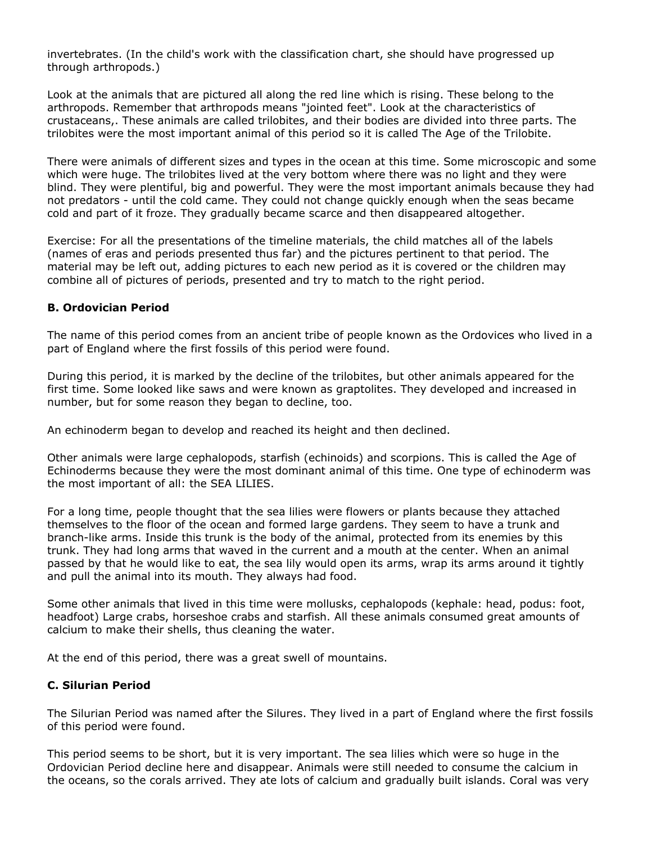invertebrates. (In the child's work with the classification chart, she should have progressed up through arthropods.)

Look at the animals that are pictured all along the red line which is rising. These belong to the arthropods. Remember that arthropods means "jointed feet". Look at the characteristics of crustaceans,. These animals are called trilobites, and their bodies are divided into three parts. The trilobites were the most important animal of this period so it is called The Age of the Trilobite.

There were animals of different sizes and types in the ocean at this time. Some microscopic and some which were huge. The trilobites lived at the very bottom where there was no light and they were blind. They were plentiful, big and powerful. They were the most important animals because they had not predators - until the cold came. They could not change quickly enough when the seas became cold and part of it froze. They gradually became scarce and then disappeared altogether.

Exercise: For all the presentations of the timeline materials, the child matches all of the labels (names of eras and periods presented thus far) and the pictures pertinent to that period. The material may be left out, adding pictures to each new period as it is covered or the children may combine all of pictures of periods, presented and try to match to the right period.

## **B. Ordovician Period**

The name of this period comes from an ancient tribe of people known as the Ordovices who lived in a part of England where the first fossils of this period were found.

During this period, it is marked by the decline of the trilobites, but other animals appeared for the first time. Some looked like saws and were known as graptolites. They developed and increased in number, but for some reason they began to decline, too.

An echinoderm began to develop and reached its height and then declined.

Other animals were large cephalopods, starfish (echinoids) and scorpions. This is called the Age of Echinoderms because they were the most dominant animal of this time. One type of echinoderm was the most important of all: the SEA LILIES.

For a long time, people thought that the sea lilies were flowers or plants because they attached themselves to the floor of the ocean and formed large gardens. They seem to have a trunk and branch-like arms. Inside this trunk is the body of the animal, protected from its enemies by this trunk. They had long arms that waved in the current and a mouth at the center. When an animal passed by that he would like to eat, the sea lily would open its arms, wrap its arms around it tightly and pull the animal into its mouth. They always had food.

Some other animals that lived in this time were mollusks, cephalopods (kephale: head, podus: foot, headfoot) Large crabs, horseshoe crabs and starfish. All these animals consumed great amounts of calcium to make their shells, thus cleaning the water.

At the end of this period, there was a great swell of mountains.

#### **C. Silurian Period**

The Silurian Period was named after the Silures. They lived in a part of England where the first fossils of this period were found.

This period seems to be short, but it is very important. The sea lilies which were so huge in the Ordovician Period decline here and disappear. Animals were still needed to consume the calcium in the oceans, so the corals arrived. They ate lots of calcium and gradually built islands. Coral was very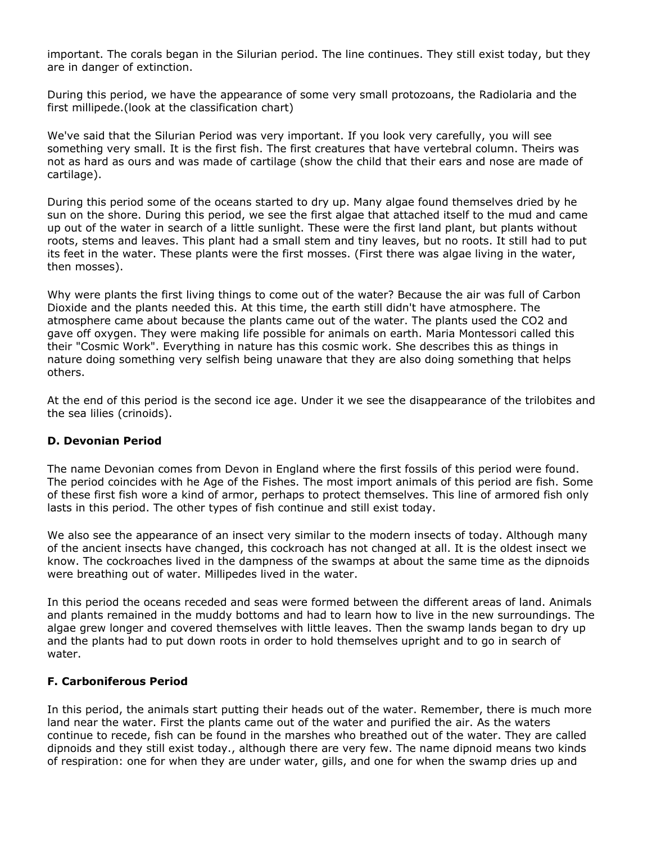important. The corals began in the Silurian period. The line continues. They still exist today, but they are in danger of extinction.

During this period, we have the appearance of some very small protozoans, the Radiolaria and the first millipede.(look at the classification chart)

We've said that the Silurian Period was very important. If you look very carefully, you will see something very small. It is the first fish. The first creatures that have vertebral column. Theirs was not as hard as ours and was made of cartilage (show the child that their ears and nose are made of cartilage).

During this period some of the oceans started to dry up. Many algae found themselves dried by he sun on the shore. During this period, we see the first algae that attached itself to the mud and came up out of the water in search of a little sunlight. These were the first land plant, but plants without roots, stems and leaves. This plant had a small stem and tiny leaves, but no roots. It still had to put its feet in the water. These plants were the first mosses. (First there was algae living in the water, then mosses).

Why were plants the first living things to come out of the water? Because the air was full of Carbon Dioxide and the plants needed this. At this time, the earth still didn't have atmosphere. The atmosphere came about because the plants came out of the water. The plants used the CO2 and gave off oxygen. They were making life possible for animals on earth. Maria Montessori called this their "Cosmic Work". Everything in nature has this cosmic work. She describes this as things in nature doing something very selfish being unaware that they are also doing something that helps others.

At the end of this period is the second ice age. Under it we see the disappearance of the trilobites and the sea lilies (crinoids).

#### **D. Devonian Period**

The name Devonian comes from Devon in England where the first fossils of this period were found. The period coincides with he Age of the Fishes. The most import animals of this period are fish. Some of these first fish wore a kind of armor, perhaps to protect themselves. This line of armored fish only lasts in this period. The other types of fish continue and still exist today.

We also see the appearance of an insect very similar to the modern insects of today. Although many of the ancient insects have changed, this cockroach has not changed at all. It is the oldest insect we know. The cockroaches lived in the dampness of the swamps at about the same time as the dipnoids were breathing out of water. Millipedes lived in the water.

In this period the oceans receded and seas were formed between the different areas of land. Animals and plants remained in the muddy bottoms and had to learn how to live in the new surroundings. The algae grew longer and covered themselves with little leaves. Then the swamp lands began to dry up and the plants had to put down roots in order to hold themselves upright and to go in search of water.

#### **F. Carboniferous Period**

In this period, the animals start putting their heads out of the water. Remember, there is much more land near the water. First the plants came out of the water and purified the air. As the waters continue to recede, fish can be found in the marshes who breathed out of the water. They are called dipnoids and they still exist today., although there are very few. The name dipnoid means two kinds of respiration: one for when they are under water, gills, and one for when the swamp dries up and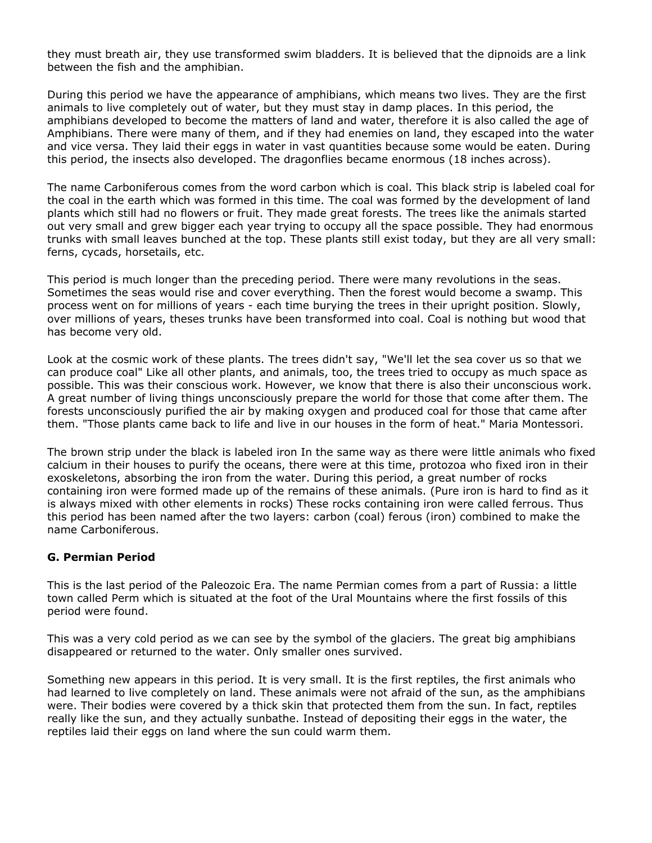they must breath air, they use transformed swim bladders. It is believed that the dipnoids are a link between the fish and the amphibian.

During this period we have the appearance of amphibians, which means two lives. They are the first animals to live completely out of water, but they must stay in damp places. In this period, the amphibians developed to become the matters of land and water, therefore it is also called the age of Amphibians. There were many of them, and if they had enemies on land, they escaped into the water and vice versa. They laid their eggs in water in vast quantities because some would be eaten. During this period, the insects also developed. The dragonflies became enormous (18 inches across).

The name Carboniferous comes from the word carbon which is coal. This black strip is labeled coal for the coal in the earth which was formed in this time. The coal was formed by the development of land plants which still had no flowers or fruit. They made great forests. The trees like the animals started out very small and grew bigger each year trying to occupy all the space possible. They had enormous trunks with small leaves bunched at the top. These plants still exist today, but they are all very small: ferns, cycads, horsetails, etc.

This period is much longer than the preceding period. There were many revolutions in the seas. Sometimes the seas would rise and cover everything. Then the forest would become a swamp. This process went on for millions of years - each time burying the trees in their upright position. Slowly, over millions of years, theses trunks have been transformed into coal. Coal is nothing but wood that has become very old.

Look at the cosmic work of these plants. The trees didn't say, "We'll let the sea cover us so that we can produce coal" Like all other plants, and animals, too, the trees tried to occupy as much space as possible. This was their conscious work. However, we know that there is also their unconscious work. A great number of living things unconsciously prepare the world for those that come after them. The forests unconsciously purified the air by making oxygen and produced coal for those that came after them. "Those plants came back to life and live in our houses in the form of heat." Maria Montessori.

The brown strip under the black is labeled iron In the same way as there were little animals who fixed calcium in their houses to purify the oceans, there were at this time, protozoa who fixed iron in their exoskeletons, absorbing the iron from the water. During this period, a great number of rocks containing iron were formed made up of the remains of these animals. (Pure iron is hard to find as it is always mixed with other elements in rocks) These rocks containing iron were called ferrous. Thus this period has been named after the two layers: carbon (coal) ferous (iron) combined to make the name Carboniferous.

#### **G. Permian Period**

This is the last period of the Paleozoic Era. The name Permian comes from a part of Russia: a little town called Perm which is situated at the foot of the Ural Mountains where the first fossils of this period were found.

This was a very cold period as we can see by the symbol of the glaciers. The great big amphibians disappeared or returned to the water. Only smaller ones survived.

Something new appears in this period. It is very small. It is the first reptiles, the first animals who had learned to live completely on land. These animals were not afraid of the sun, as the amphibians were. Their bodies were covered by a thick skin that protected them from the sun. In fact, reptiles really like the sun, and they actually sunbathe. Instead of depositing their eggs in the water, the reptiles laid their eggs on land where the sun could warm them.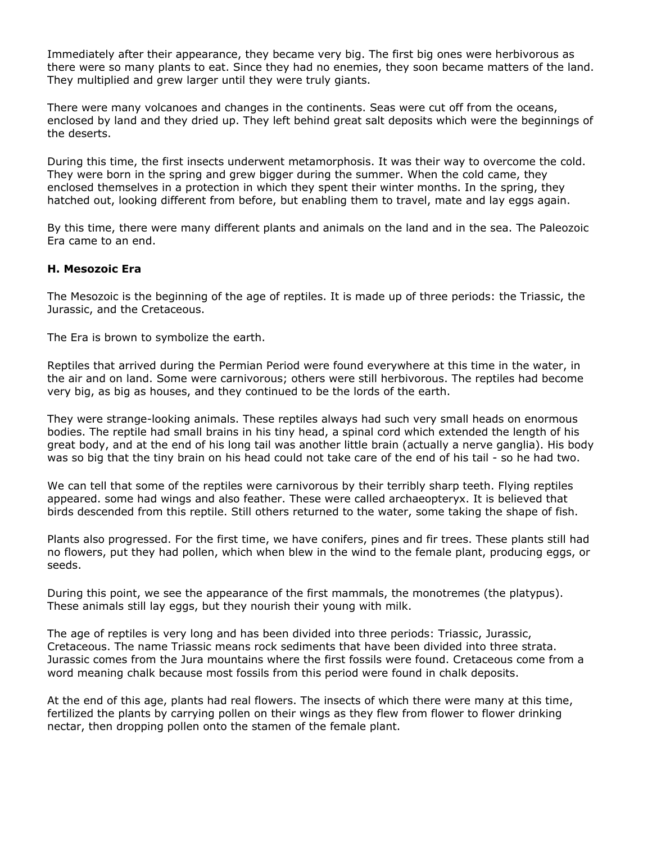Immediately after their appearance, they became very big. The first big ones were herbivorous as there were so many plants to eat. Since they had no enemies, they soon became matters of the land. They multiplied and grew larger until they were truly giants.

There were many volcanoes and changes in the continents. Seas were cut off from the oceans, enclosed by land and they dried up. They left behind great salt deposits which were the beginnings of the deserts.

During this time, the first insects underwent metamorphosis. It was their way to overcome the cold. They were born in the spring and grew bigger during the summer. When the cold came, they enclosed themselves in a protection in which they spent their winter months. In the spring, they hatched out, looking different from before, but enabling them to travel, mate and lay eggs again.

By this time, there were many different plants and animals on the land and in the sea. The Paleozoic Era came to an end.

#### **H. Mesozoic Era**

The Mesozoic is the beginning of the age of reptiles. It is made up of three periods: the Triassic, the Jurassic, and the Cretaceous.

The Era is brown to symbolize the earth.

Reptiles that arrived during the Permian Period were found everywhere at this time in the water, in the air and on land. Some were carnivorous; others were still herbivorous. The reptiles had become very big, as big as houses, and they continued to be the lords of the earth.

They were strange-looking animals. These reptiles always had such very small heads on enormous bodies. The reptile had small brains in his tiny head, a spinal cord which extended the length of his great body, and at the end of his long tail was another little brain (actually a nerve ganglia). His body was so big that the tiny brain on his head could not take care of the end of his tail - so he had two.

We can tell that some of the reptiles were carnivorous by their terribly sharp teeth. Flying reptiles appeared. some had wings and also feather. These were called archaeopteryx. It is believed that birds descended from this reptile. Still others returned to the water, some taking the shape of fish.

Plants also progressed. For the first time, we have conifers, pines and fir trees. These plants still had no flowers, put they had pollen, which when blew in the wind to the female plant, producing eggs, or seeds.

During this point, we see the appearance of the first mammals, the monotremes (the platypus). These animals still lay eggs, but they nourish their young with milk.

The age of reptiles is very long and has been divided into three periods: Triassic, Jurassic, Cretaceous. The name Triassic means rock sediments that have been divided into three strata. Jurassic comes from the Jura mountains where the first fossils were found. Cretaceous come from a word meaning chalk because most fossils from this period were found in chalk deposits.

At the end of this age, plants had real flowers. The insects of which there were many at this time, fertilized the plants by carrying pollen on their wings as they flew from flower to flower drinking nectar, then dropping pollen onto the stamen of the female plant.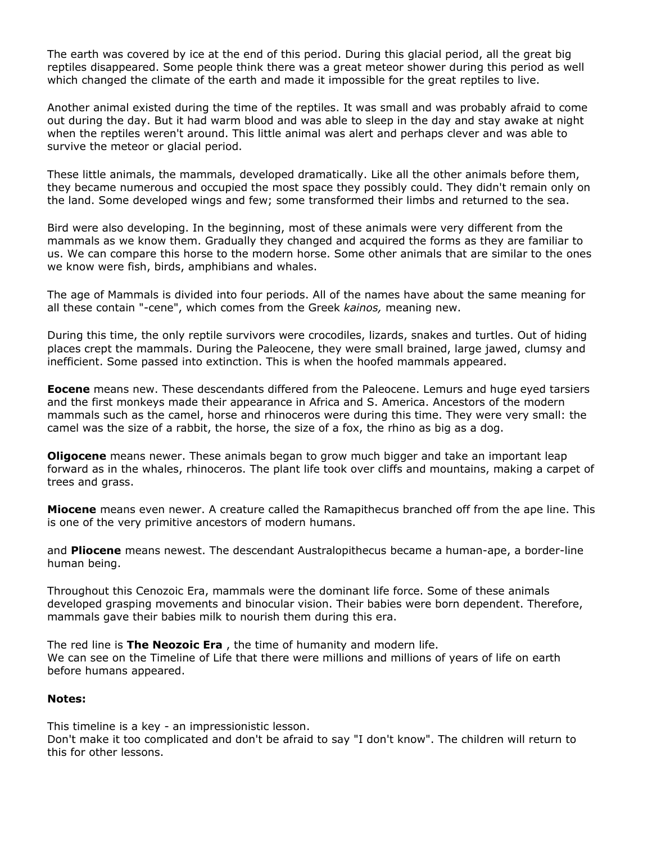The earth was covered by ice at the end of this period. During this glacial period, all the great big reptiles disappeared. Some people think there was a great meteor shower during this period as well which changed the climate of the earth and made it impossible for the great reptiles to live.

Another animal existed during the time of the reptiles. It was small and was probably afraid to come out during the day. But it had warm blood and was able to sleep in the day and stay awake at night when the reptiles weren't around. This little animal was alert and perhaps clever and was able to survive the meteor or glacial period.

These little animals, the mammals, developed dramatically. Like all the other animals before them, they became numerous and occupied the most space they possibly could. They didn't remain only on the land. Some developed wings and few; some transformed their limbs and returned to the sea.

Bird were also developing. In the beginning, most of these animals were very different from the mammals as we know them. Gradually they changed and acquired the forms as they are familiar to us. We can compare this horse to the modern horse. Some other animals that are similar to the ones we know were fish, birds, amphibians and whales.

The age of Mammals is divided into four periods. All of the names have about the same meaning for all these contain "-cene", which comes from the Greek *kainos,* meaning new.

During this time, the only reptile survivors were crocodiles, lizards, snakes and turtles. Out of hiding places crept the mammals. During the Paleocene, they were small brained, large jawed, clumsy and inefficient. Some passed into extinction. This is when the hoofed mammals appeared.

**Eocene** means new. These descendants differed from the Paleocene. Lemurs and huge eyed tarsiers and the first monkeys made their appearance in Africa and S. America. Ancestors of the modern mammals such as the camel, horse and rhinoceros were during this time. They were very small: the camel was the size of a rabbit, the horse, the size of a fox, the rhino as big as a dog.

**Oligocene** means newer. These animals began to grow much bigger and take an important leap forward as in the whales, rhinoceros. The plant life took over cliffs and mountains, making a carpet of trees and grass.

**Miocene** means even newer. A creature called the Ramapithecus branched off from the ape line. This is one of the very primitive ancestors of modern humans.

and **Pliocene** means newest. The descendant Australopithecus became a human-ape, a border-line human being.

Throughout this Cenozoic Era, mammals were the dominant life force. Some of these animals developed grasping movements and binocular vision. Their babies were born dependent. Therefore, mammals gave their babies milk to nourish them during this era.

The red line is **The Neozoic Era** , the time of humanity and modern life. We can see on the Timeline of Life that there were millions and millions of years of life on earth before humans appeared.

#### **Notes:**

This timeline is a key - an impressionistic lesson.

Don't make it too complicated and don't be afraid to say "I don't know". The children will return to this for other lessons.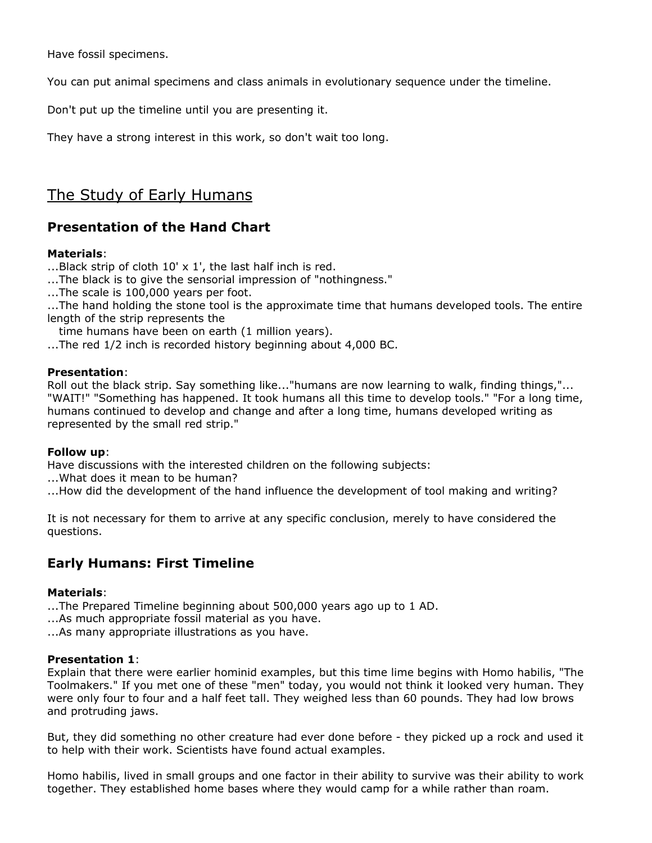Have fossil specimens.

You can put animal specimens and class animals in evolutionary sequence under the timeline.

Don't put up the timeline until you are presenting it.

They have a strong interest in this work, so don't wait too long.

# The Study of Early Humans

# **Presentation of the Hand Chart**

## **Materials**:

...Black strip of cloth 10' x 1', the last half inch is red.

...The black is to give the sensorial impression of "nothingness."

...The scale is 100,000 years per foot.

...The hand holding the stone tool is the approximate time that humans developed tools. The entire length of the strip represents the

time humans have been on earth (1 million years).

...The red 1/2 inch is recorded history beginning about 4,000 BC.

#### **Presentation**:

Roll out the black strip. Say something like..."humans are now learning to walk, finding things,"... "WAIT!" "Something has happened. It took humans all this time to develop tools." "For a long time, humans continued to develop and change and after a long time, humans developed writing as represented by the small red strip."

#### **Follow up**:

Have discussions with the interested children on the following subjects:

...What does it mean to be human?

...How did the development of the hand influence the development of tool making and writing?

It is not necessary for them to arrive at any specific conclusion, merely to have considered the questions.

# **Early Humans: First Timeline**

#### **Materials**:

...The Prepared Timeline beginning about 500,000 years ago up to 1 AD.

...As much appropriate fossil material as you have.

...As many appropriate illustrations as you have.

#### **Presentation 1**:

Explain that there were earlier hominid examples, but this time lime begins with Homo habilis, "The Toolmakers." If you met one of these "men" today, you would not think it looked very human. They were only four to four and a half feet tall. They weighed less than 60 pounds. They had low brows and protruding jaws.

But, they did something no other creature had ever done before - they picked up a rock and used it to help with their work. Scientists have found actual examples.

Homo habilis, lived in small groups and one factor in their ability to survive was their ability to work together. They established home bases where they would camp for a while rather than roam.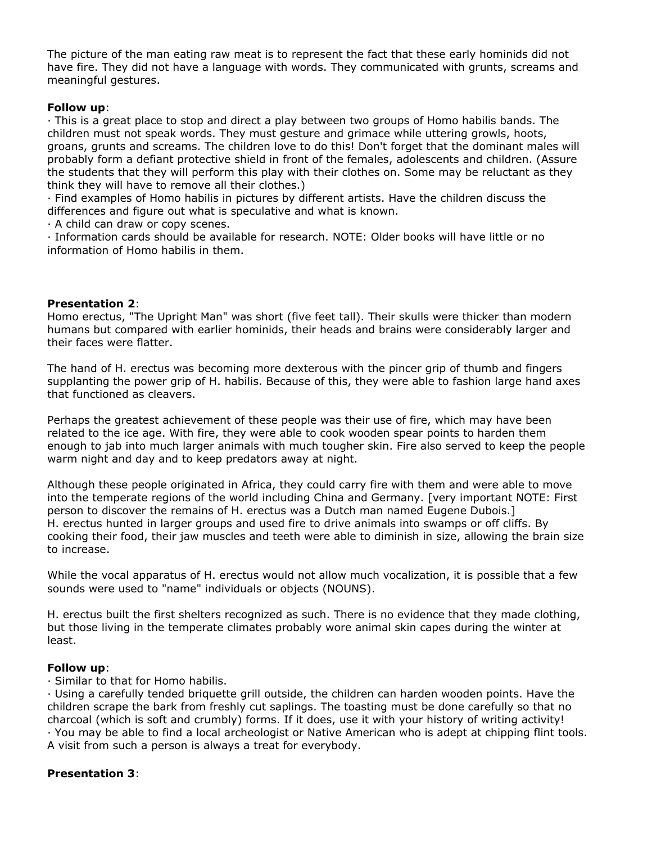The picture of the man eating raw meat is to represent the fact that these early hominids did not have fire. They did not have a language with words. They communicated with grunts, screams and meaningful gestures.

#### **Follow up**:

· This is a great place to stop and direct a play between two groups of Homo habilis bands. The children must not speak words. They must gesture and grimace while uttering growls, hoots, groans, grunts and screams. The children love to do this! Don't forget that the dominant males will probably form a defiant protective shield in front of the females, adolescents and children. (Assure the students that they will perform this play with their clothes on. Some may be reluctant as they think they will have to remove all their clothes.)

· Find examples of Homo habilis in pictures by different artists. Have the children discuss the differences and figure out what is speculative and what is known.

· A child can draw or copy scenes.

· Information cards should be available for research. NOTE: Older books will have little or no information of Homo habilis in them.

#### **Presentation 2**:

Homo erectus, "The Upright Man" was short (five feet tall). Their skulls were thicker than modern humans but compared with earlier hominids, their heads and brains were considerably larger and their faces were flatter.

The hand of H. erectus was becoming more dexterous with the pincer grip of thumb and fingers supplanting the power grip of H. habilis. Because of this, they were able to fashion large hand axes that functioned as cleavers.

Perhaps the greatest achievement of these people was their use of fire, which may have been related to the ice age. With fire, they were able to cook wooden spear points to harden them enough to jab into much larger animals with much tougher skin. Fire also served to keep the people warm night and day and to keep predators away at night.

Although these people originated in Africa, they could carry fire with them and were able to move into the temperate regions of the world including China and Germany. [very important NOTE: First person to discover the remains of H. erectus was a Dutch man named Eugene Dubois.] H. erectus hunted in larger groups and used fire to drive animals into swamps or off cliffs. By cooking their food, their jaw muscles and teeth were able to diminish in size, allowing the brain size to increase.

While the vocal apparatus of H. erectus would not allow much vocalization, it is possible that a few sounds were used to "name" individuals or objects (NOUNS).

H. erectus built the first shelters recognized as such. There is no evidence that they made clothing, but those living in the temperate climates probably wore animal skin capes during the winter at least.

#### **Follow up**:

· Similar to that for Homo habilis.

· Using a carefully tended briquette grill outside, the children can harden wooden points. Have the children scrape the bark from freshly cut saplings. The toasting must be done carefully so that no charcoal (which is soft and crumbly) forms. If it does, use it with your history of writing activity! · You may be able to find a local archeologist or Native American who is adept at chipping flint tools. A visit from such a person is always a treat for everybody.

# **Presentation 3**: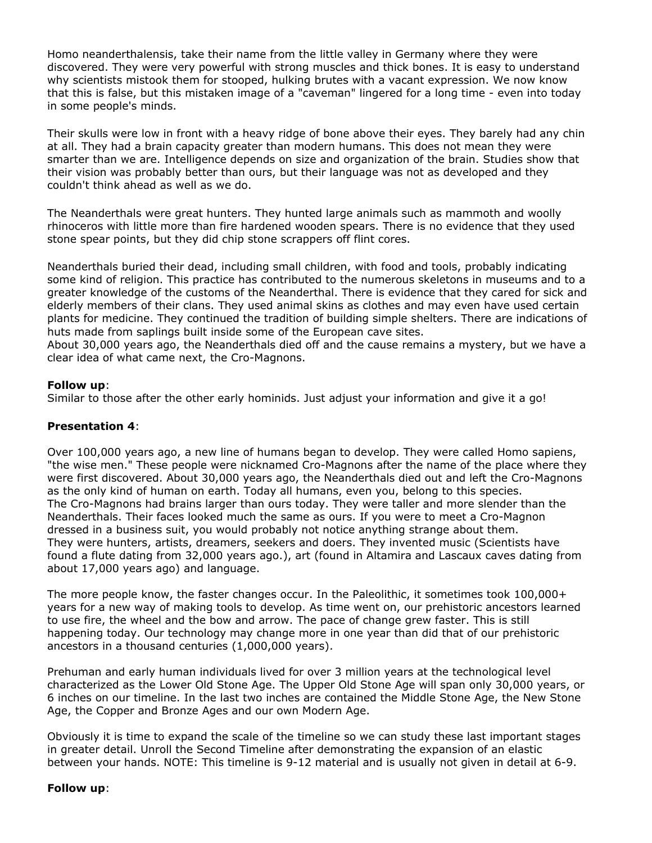Homo neanderthalensis, take their name from the little valley in Germany where they were discovered. They were very powerful with strong muscles and thick bones. It is easy to understand why scientists mistook them for stooped, hulking brutes with a vacant expression. We now know that this is false, but this mistaken image of a "caveman" lingered for a long time - even into today in some people's minds.

Their skulls were low in front with a heavy ridge of bone above their eyes. They barely had any chin at all. They had a brain capacity greater than modern humans. This does not mean they were smarter than we are. Intelligence depends on size and organization of the brain. Studies show that their vision was probably better than ours, but their language was not as developed and they couldn't think ahead as well as we do.

The Neanderthals were great hunters. They hunted large animals such as mammoth and woolly rhinoceros with little more than fire hardened wooden spears. There is no evidence that they used stone spear points, but they did chip stone scrappers off flint cores.

Neanderthals buried their dead, including small children, with food and tools, probably indicating some kind of religion. This practice has contributed to the numerous skeletons in museums and to a greater knowledge of the customs of the Neanderthal. There is evidence that they cared for sick and elderly members of their clans. They used animal skins as clothes and may even have used certain plants for medicine. They continued the tradition of building simple shelters. There are indications of huts made from saplings built inside some of the European cave sites.

About 30,000 years ago, the Neanderthals died off and the cause remains a mystery, but we have a clear idea of what came next, the Cro-Magnons.

#### **Follow up**:

Similar to those after the other early hominids. Just adjust your information and give it a go!

#### **Presentation 4**:

Over 100,000 years ago, a new line of humans began to develop. They were called Homo sapiens, "the wise men." These people were nicknamed Cro-Magnons after the name of the place where they were first discovered. About 30,000 years ago, the Neanderthals died out and left the Cro-Magnons as the only kind of human on earth. Today all humans, even you, belong to this species. The Cro-Magnons had brains larger than ours today. They were taller and more slender than the Neanderthals. Their faces looked much the same as ours. If you were to meet a Cro-Magnon dressed in a business suit, you would probably not notice anything strange about them. They were hunters, artists, dreamers, seekers and doers. They invented music (Scientists have found a flute dating from 32,000 years ago.), art (found in Altamira and Lascaux caves dating from about 17,000 years ago) and language.

The more people know, the faster changes occur. In the Paleolithic, it sometimes took 100,000+ years for a new way of making tools to develop. As time went on, our prehistoric ancestors learned to use fire, the wheel and the bow and arrow. The pace of change grew faster. This is still happening today. Our technology may change more in one year than did that of our prehistoric ancestors in a thousand centuries (1,000,000 years).

Prehuman and early human individuals lived for over 3 million years at the technological level characterized as the Lower Old Stone Age. The Upper Old Stone Age will span only 30,000 years, or 6 inches on our timeline. In the last two inches are contained the Middle Stone Age, the New Stone Age, the Copper and Bronze Ages and our own Modern Age.

Obviously it is time to expand the scale of the timeline so we can study these last important stages in greater detail. Unroll the Second Timeline after demonstrating the expansion of an elastic between your hands. NOTE: This timeline is 9-12 material and is usually not given in detail at 6-9.

#### **Follow up**: